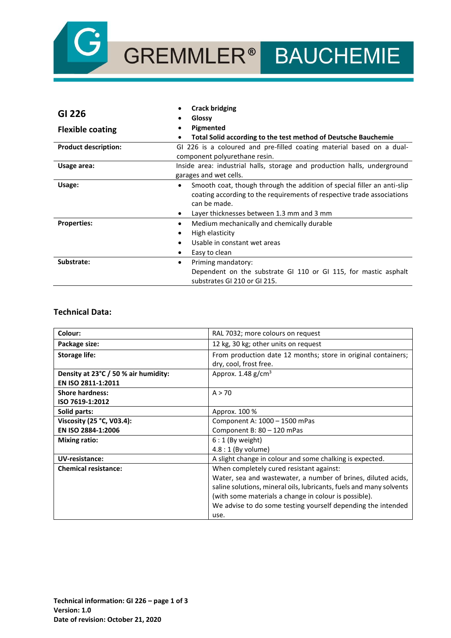

# GREMMLER® BAUCHEMIE

|                             | <b>Crack bridging</b>                                                                |
|-----------------------------|--------------------------------------------------------------------------------------|
| GI 226                      | Glossy                                                                               |
| <b>Flexible coating</b>     | Pigmented                                                                            |
|                             | Total Solid according to the test method of Deutsche Bauchemie<br>٠                  |
| <b>Product description:</b> | GI 226 is a coloured and pre-filled coating material based on a dual-                |
|                             | component polyurethane resin.                                                        |
| Usage area:                 | Inside area: industrial halls, storage and production halls, underground             |
|                             | garages and wet cells.                                                               |
| Usage:                      | Smooth coat, though through the addition of special filler an anti-slip<br>$\bullet$ |
|                             | coating according to the requirements of respective trade associations               |
|                             | can be made.                                                                         |
|                             | Layer thicknesses between 1.3 mm and 3 mm                                            |
| <b>Properties:</b>          | Medium mechanically and chemically durable                                           |
|                             | High elasticity                                                                      |
|                             | Usable in constant wet areas                                                         |
|                             | Easy to clean                                                                        |
| Substrate:                  | Priming mandatory:<br>$\bullet$                                                      |
|                             | Dependent on the substrate GI 110 or GI 115, for mastic asphalt                      |
|                             | substrates GI 210 or GI 215.                                                         |

### **Technical Data:**

| Colour:                              | RAL 7032; more colours on request                                   |
|--------------------------------------|---------------------------------------------------------------------|
| Package size:                        | 12 kg, 30 kg; other units on request                                |
| <b>Storage life:</b>                 | From production date 12 months; store in original containers;       |
|                                      | dry, cool, frost free.                                              |
| Density at 23°C / 50 % air humidity: | Approx. 1.48 g/cm <sup>3</sup>                                      |
| EN ISO 2811-1:2011                   |                                                                     |
| <b>Shore hardness:</b>               | A > 70                                                              |
| ISO 7619-1:2012                      |                                                                     |
| Solid parts:                         | Approx. 100 %                                                       |
| Viscosity (25 °C, V03.4):            | Component A: 1000 - 1500 mPas                                       |
| EN ISO 2884-1:2006                   | Component B: 80 - 120 mPas                                          |
| <b>Mixing ratio:</b>                 | $6:1$ (By weight)                                                   |
|                                      | $4.8:1$ (By volume)                                                 |
| <b>UV-resistance:</b>                | A slight change in colour and some chalking is expected.            |
| <b>Chemical resistance:</b>          | When completely cured resistant against:                            |
|                                      | Water, sea and wastewater, a number of brines, diluted acids,       |
|                                      | saline solutions, mineral oils, lubricants, fuels and many solvents |
|                                      | (with some materials a change in colour is possible).               |
|                                      | We advise to do some testing yourself depending the intended        |
|                                      | use.                                                                |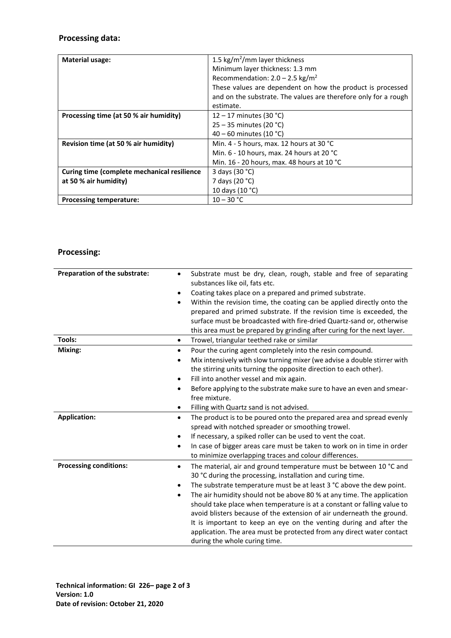## **Processing data:**

| <b>Material usage:</b>                      | 1.5 kg/m <sup>2</sup> /mm layer thickness                       |
|---------------------------------------------|-----------------------------------------------------------------|
|                                             | Minimum layer thickness: 1.3 mm                                 |
|                                             | Recommendation: $2.0 - 2.5$ kg/m <sup>2</sup>                   |
|                                             | These values are dependent on how the product is processed      |
|                                             | and on the substrate. The values are therefore only for a rough |
|                                             | estimate.                                                       |
| Processing time (at 50 % air humidity)      | 12 – 17 minutes (30 °C)                                         |
|                                             | $25 - 35$ minutes (20 °C)                                       |
|                                             | 40 – 60 minutes (10 °C)                                         |
| Revision time (at 50 % air humidity)        | Min. 4 - 5 hours, max. 12 hours at 30 $^{\circ}$ C              |
|                                             | Min. $6 - 10$ hours, max. 24 hours at 20 °C                     |
|                                             | Min. 16 - 20 hours, max. 48 hours at 10 °C                      |
| Curing time (complete mechanical resilience | 3 days (30 °C)                                                  |
| at 50 % air humidity)                       | 7 days (20 °C)                                                  |
|                                             | 10 days (10 °C)                                                 |
| <b>Processing temperature:</b>              | $10 - 30 °C$                                                    |

# **Processing:**

| Preparation of the substrate: | Substrate must be dry, clean, rough, stable and free of separating<br>٠<br>substances like oil, fats etc.<br>Coating takes place on a prepared and primed substrate.<br>$\bullet$<br>Within the revision time, the coating can be applied directly onto the<br>٠<br>prepared and primed substrate. If the revision time is exceeded, the<br>surface must be broadcasted with fire-dried Quartz-sand or, otherwise<br>this area must be prepared by grinding after curing for the next layer.                                                                                                                                                  |
|-------------------------------|-----------------------------------------------------------------------------------------------------------------------------------------------------------------------------------------------------------------------------------------------------------------------------------------------------------------------------------------------------------------------------------------------------------------------------------------------------------------------------------------------------------------------------------------------------------------------------------------------------------------------------------------------|
| Tools:                        | Trowel, triangular teethed rake or similar<br>$\bullet$                                                                                                                                                                                                                                                                                                                                                                                                                                                                                                                                                                                       |
| Mixing:                       | Pour the curing agent completely into the resin compound.<br>$\bullet$<br>Mix intensively with slow turning mixer (we advise a double stirrer with<br>٠<br>the stirring units turning the opposite direction to each other).<br>Fill into another vessel and mix again.<br>٠<br>Before applying to the substrate make sure to have an even and smear-<br>٠<br>free mixture.<br>Filling with Quartz sand is not advised.<br>٠                                                                                                                                                                                                                  |
| <b>Application:</b>           | The product is to be poured onto the prepared area and spread evenly<br>$\bullet$<br>spread with notched spreader or smoothing trowel.<br>If necessary, a spiked roller can be used to vent the coat.<br>$\bullet$<br>In case of bigger areas care must be taken to work on in time in order<br>٠<br>to minimize overlapping traces and colour differences.                                                                                                                                                                                                                                                                                   |
| <b>Processing conditions:</b> | The material, air and ground temperature must be between 10 °C and<br>$\bullet$<br>30 °C during the processing, installation and curing time.<br>The substrate temperature must be at least 3 °C above the dew point.<br>٠<br>The air humidity should not be above 80 % at any time. The application<br>٠<br>should take place when temperature is at a constant or falling value to<br>avoid blisters because of the extension of air underneath the ground.<br>It is important to keep an eye on the venting during and after the<br>application. The area must be protected from any direct water contact<br>during the whole curing time. |